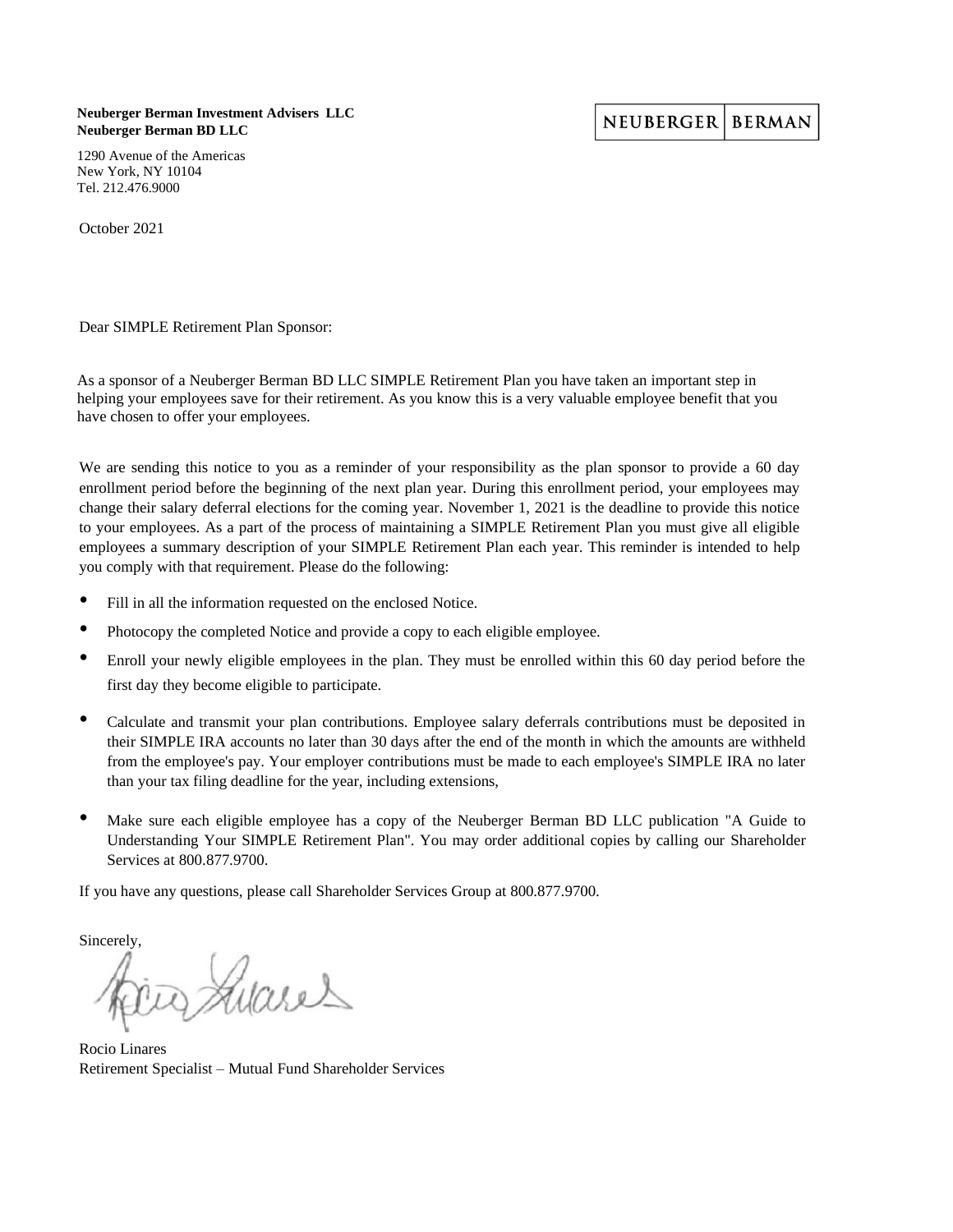**Neuberger Berman Investment Advisers LLC Neuberger Berman BD LLC**

1290 Avenue of the Americas New York, NY 10104 Tel. 212.476.9000

October 2021

Dear SIMPLE Retirement Plan Sponsor:

As a sponsor of a Neuberger Berman BD LLC SIMPLE Retirement Plan you have taken an important step in helping your employees save for their retirement. As you know this is a very valuable employee benefit that you have chosen to offer your employees.

We are sending this notice to you as a reminder of your responsibility as the plan sponsor to provide a 60 day enrollment period before the beginning of the next plan year. During this enrollment period, your employees may change their salary deferral elections for the coming year. November 1, 2021 is the deadline to provide this notice to your employees. As a part of the process of maintaining a SIMPLE Retirement Plan you must give all eligible employees a summary description of your SIMPLE Retirement Plan each year. This reminder is intended to help you comply with that requirement. Please do the following:

- Fill in all the information requested on the enclosed Notice.
- Photocopy the completed Notice and provide a copy to each eligible employee.
- Enroll your newly eligible employees in the plan. They must be enrolled within this 60 day period before the first day they become eligible to participate.
- Calculate and transmit your plan contributions. Employee salary deferrals contributions must be deposited in their SIMPLE IRA accounts no later than 30 days after the end of the month in which the amounts are withheld from the employee's pay. Your employer contributions must be made to each employee's SIMPLE IRA no later than your tax filing deadline for the year, including extensions,
- Make sure each eligible employee has a copy of the Neuberger Berman BD LLC publication "A Guide to Understanding Your SIMPLE Retirement Plan". You may order additional copies by calling our Shareholder Services at 800.877.9700.

If you have any questions, please call Shareholder Services Group at 800.877.9700.

Sincerely,

Luares

Rocio Linares Retirement Specialist – Mutual Fund Shareholder Services

NEUBERGER BERMAN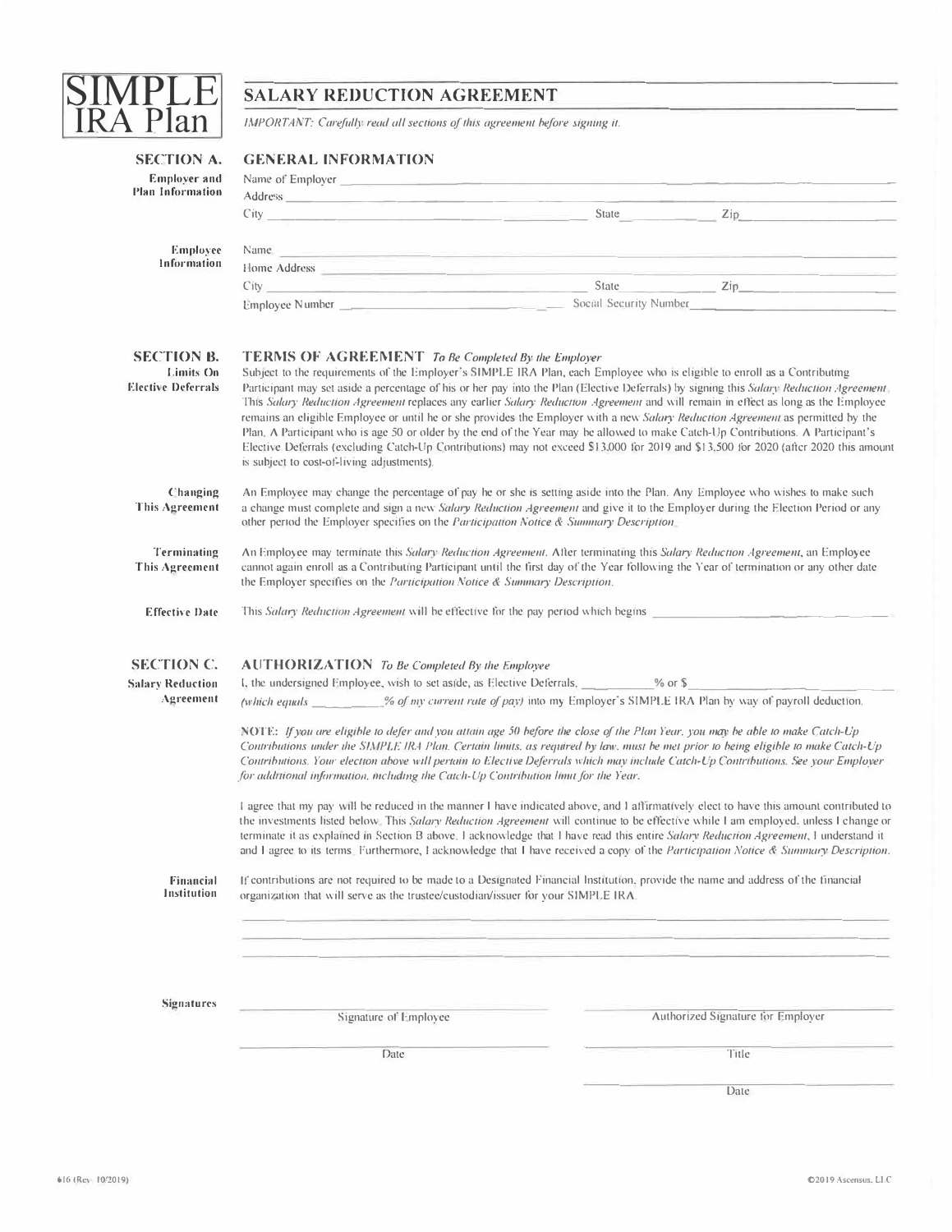

| <b>SECTION A.</b>                              | <b>GENERAL INFORMATION</b>                                                                                                                                                                                                                                                                                                                                                                                                                                                                                                                                                                                                                                                                                                                                                                                                                                           |  |  |                                   |  |
|------------------------------------------------|----------------------------------------------------------------------------------------------------------------------------------------------------------------------------------------------------------------------------------------------------------------------------------------------------------------------------------------------------------------------------------------------------------------------------------------------------------------------------------------------------------------------------------------------------------------------------------------------------------------------------------------------------------------------------------------------------------------------------------------------------------------------------------------------------------------------------------------------------------------------|--|--|-----------------------------------|--|
| <b>Employer and</b><br><b>Plan Information</b> |                                                                                                                                                                                                                                                                                                                                                                                                                                                                                                                                                                                                                                                                                                                                                                                                                                                                      |  |  |                                   |  |
|                                                | Address <u>and the contract of the contract of the contract of the contract of the contract of the contract of the contract of the contract of the contract of the contract of the contract of the contract of the contract of t</u>                                                                                                                                                                                                                                                                                                                                                                                                                                                                                                                                                                                                                                 |  |  |                                   |  |
|                                                | City State State State                                                                                                                                                                                                                                                                                                                                                                                                                                                                                                                                                                                                                                                                                                                                                                                                                                               |  |  | $\mathsf{Zip}$                    |  |
| Employee                                       | Name experience and the contract of the contract of the contract of the contract of the contract of the contract of the contract of the contract of the contract of the contract of the contract of the contract of the contra                                                                                                                                                                                                                                                                                                                                                                                                                                                                                                                                                                                                                                       |  |  |                                   |  |
| Information                                    | Home Address <b>Executive Contract Contract Contract Contract Contract Contract Contract Contract Contract Contract Contract Contract Contract Contract Contract Contract Contract Contract Contract Contract Contract Contract </b>                                                                                                                                                                                                                                                                                                                                                                                                                                                                                                                                                                                                                                 |  |  |                                   |  |
|                                                |                                                                                                                                                                                                                                                                                                                                                                                                                                                                                                                                                                                                                                                                                                                                                                                                                                                                      |  |  |                                   |  |
|                                                | Employee Number Social Security Number Social Security Number                                                                                                                                                                                                                                                                                                                                                                                                                                                                                                                                                                                                                                                                                                                                                                                                        |  |  |                                   |  |
| <b>SECTION B.</b>                              | <b>TERMS OF AGREEMENT</b> To Be Completed By the Employer                                                                                                                                                                                                                                                                                                                                                                                                                                                                                                                                                                                                                                                                                                                                                                                                            |  |  |                                   |  |
| Limits On<br><b>Elective Deferrals</b>         | Subject to the requirements of the Employer's SIMPLE IRA Plan, each Employee who is eligible to enroll as a Contributing<br>Participant may set aside a percentage of his or her pay into the Plan (Elective Deferrals) by signing this Salary Reduction Agreement<br>This Salary Reduction Agreement replaces any earlier Salary Reduction Agreement and will remain in effect as long as the Employee<br>remains an eligible Employee or until he or she provides the Employer with a new Salary Reduction Agreement as permitted by the<br>Plan, A Participant who is age 50 or older by the end of the Year may be allowed to make Catch-Up Contributions. A Participant's<br>Elective Deferrals (excluding Catch-Up Contributions) may not exceed \$13,000 for 2019 and \$13,500 for 2020 (after 2020 this amount<br>is subject to cost-of-living adjustments). |  |  |                                   |  |
| Changing<br>This Agreement                     | An Employee may change the percentage of pay he or she is setting aside into the Plan. Any Employee who wishes to make such<br>a change must complete and sign a new Salary Reduction Agreement and give it to the Employer during the Election Period or any<br>other period the Employer specifies on the Participation Notice & Summary Description.                                                                                                                                                                                                                                                                                                                                                                                                                                                                                                              |  |  |                                   |  |
| Terminating<br>This Agreement                  | An Employee may terminate this Salary Reduction Agreement. After terminating this Salary Reduction Agreement, an Employee<br>cannot again enroll as a Contributing Participant until the first day of the Year following the Year of termination or any other date<br>the Employer specifies on the Participation Notice & Summary Description.                                                                                                                                                                                                                                                                                                                                                                                                                                                                                                                      |  |  |                                   |  |
| <b>Effective Date</b>                          | This Salary Reduction Agreement will be effective for the pay period which begins                                                                                                                                                                                                                                                                                                                                                                                                                                                                                                                                                                                                                                                                                                                                                                                    |  |  |                                   |  |
| <b>SECTION C.</b>                              |                                                                                                                                                                                                                                                                                                                                                                                                                                                                                                                                                                                                                                                                                                                                                                                                                                                                      |  |  |                                   |  |
| <b>Salary Reduction</b>                        | <b>AUTHORIZATION</b> To Be Completed By the Employee<br>I, the undersigned Employee, wish to set aside, as Elective Deferrals, _________ % or \$                                                                                                                                                                                                                                                                                                                                                                                                                                                                                                                                                                                                                                                                                                                     |  |  |                                   |  |
| Agreement                                      | (which equals ________% of my current rate of pay) into my Employer's SIMPLE IRA Plan by way of payroll deduction.                                                                                                                                                                                                                                                                                                                                                                                                                                                                                                                                                                                                                                                                                                                                                   |  |  |                                   |  |
|                                                | NOTE: If you are eligible to defer and you attain age 50 before the close of the Plan Year, you may be able to make Catch-Up<br>Contributions under the SIMPLE IRA Plan. Certain limits, as required by law, must be met prior to being eligible to make Catch-Up<br>Contributions. Your election above will pertain to Elective Deferrals which may include Catch-Up Contributions. See your Employer<br>for additional information, including the Catch-Up Contribution limit for the Year.                                                                                                                                                                                                                                                                                                                                                                        |  |  |                                   |  |
|                                                | I agree that my pay will be reduced in the manner I have indicated above, and I affirmatively elect to have this amount contributed to<br>the investments listed below. This Salary Reduction Agreement will continue to be effective while I am employed, unless I change or<br>terminate it as explained in Section B above. I acknowledge that I have read this entire Salary Reduction Agreement, I understand it<br>and I agree to its terms. Furthermore, I acknowledge that I have received a copy of the Participation Notice & Summary Description.                                                                                                                                                                                                                                                                                                         |  |  |                                   |  |
| Financial<br>Institution                       | If contributions are not required to be made to a Designated Financial Institution, provide the name and address of the financial<br>organization that will serve as the trustee/custodian/issuer for your SIMPLE IRA.                                                                                                                                                                                                                                                                                                                                                                                                                                                                                                                                                                                                                                               |  |  |                                   |  |
|                                                |                                                                                                                                                                                                                                                                                                                                                                                                                                                                                                                                                                                                                                                                                                                                                                                                                                                                      |  |  |                                   |  |
| <b>Signatures</b>                              | Signature of Employee                                                                                                                                                                                                                                                                                                                                                                                                                                                                                                                                                                                                                                                                                                                                                                                                                                                |  |  | Authorized Signature for Employer |  |
|                                                | Date                                                                                                                                                                                                                                                                                                                                                                                                                                                                                                                                                                                                                                                                                                                                                                                                                                                                 |  |  | Title                             |  |

Date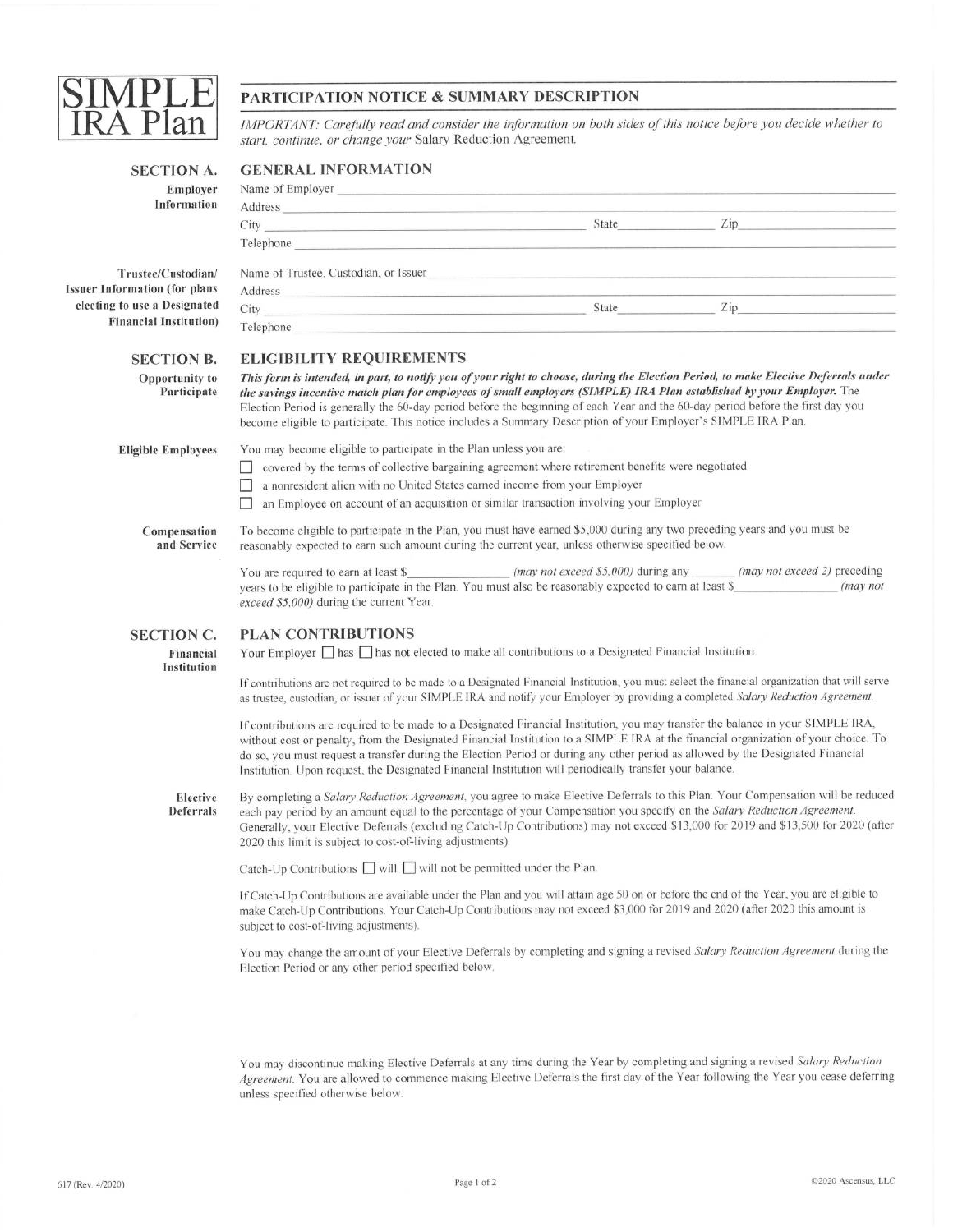

## PARTICIPATION NOTICE & SUMMARY DESCRIPTION

IMPORTANT: Carefully read and consider the information on both sides of this notice before you decide whether to start, continue, or change your Salary Reduction Agreement.

| Employer<br>Information              | Name of Employer<br><u>Name of Employer</u>                                                                                                                                                                                                                                                                                                                                                                                                                                                                            |  |          |  |  |
|--------------------------------------|------------------------------------------------------------------------------------------------------------------------------------------------------------------------------------------------------------------------------------------------------------------------------------------------------------------------------------------------------------------------------------------------------------------------------------------------------------------------------------------------------------------------|--|----------|--|--|
|                                      |                                                                                                                                                                                                                                                                                                                                                                                                                                                                                                                        |  |          |  |  |
|                                      |                                                                                                                                                                                                                                                                                                                                                                                                                                                                                                                        |  |          |  |  |
|                                      | Telephone and the contract of the contract of the contract of the contract of the contract of the contract of the contract of the contract of the contract of the contract of the contract of the contract of the contract of                                                                                                                                                                                                                                                                                          |  |          |  |  |
| Trustee/Custodian/                   | Name of Trustee, Custodian, or Issuer                                                                                                                                                                                                                                                                                                                                                                                                                                                                                  |  |          |  |  |
| <b>Issuer Information (for plans</b> | Address and the company of the contract of the contract of the contract of the contract of the contract of the contract of the contract of the contract of the contract of the contract of the contract of the contract of the                                                                                                                                                                                                                                                                                         |  |          |  |  |
| electing to use a Designated         |                                                                                                                                                                                                                                                                                                                                                                                                                                                                                                                        |  |          |  |  |
| <b>Financial Institution</b> )       | Telephone <b>The Community Community</b> and the community of the community of the community of the community of the community of the community of the community of the community of the community of the community of the communit                                                                                                                                                                                                                                                                                    |  |          |  |  |
| <b>SECTION B.</b>                    | <b>ELIGIBILITY REQUIREMENTS</b>                                                                                                                                                                                                                                                                                                                                                                                                                                                                                        |  |          |  |  |
| <b>Opportunity to</b><br>Participate | This form is intended, in part, to notify you of your right to choose, during the Election Period, to make Elective Deferrals under<br>the savings incentive match plan for employees of small employers (SIMPLE) IRA Plan established by your Employer. The<br>Election Period is generally the 60-day period before the beginning of each Year and the 60-day period before the first day you<br>become eligible to participate. This notice includes a Summary Description of your Employer's SIMPLE IRA Plan.      |  |          |  |  |
| <b>Eligible Employees</b>            | You may become eligible to participate in the Plan unless you are:                                                                                                                                                                                                                                                                                                                                                                                                                                                     |  |          |  |  |
|                                      | covered by the terms of collective bargaining agreement where retirement benefits were negotiated                                                                                                                                                                                                                                                                                                                                                                                                                      |  |          |  |  |
|                                      | a nonresident alien with no United States earned income from your Employer                                                                                                                                                                                                                                                                                                                                                                                                                                             |  |          |  |  |
|                                      | an Employee on account of an acquisition or similar transaction involving your Employer                                                                                                                                                                                                                                                                                                                                                                                                                                |  |          |  |  |
| Compensation<br>and Service          | To become eligible to participate in the Plan, you must have earned \$5,000 during any two preceding years and you must be<br>reasonably expected to earn such amount during the current year, unless otherwise specified below.                                                                                                                                                                                                                                                                                       |  |          |  |  |
|                                      | You are required to earn at least \$_______________ (may not exceed \$5,000) during any ______ (may not exceed 2) preceding<br>years to be eligible to participate in the Plan. You must also be reasonably expected to earn at least \$<br>exceed \$5,000) during the current Year.                                                                                                                                                                                                                                   |  | (may not |  |  |
| <b>SECTION C.</b>                    | <b>PLAN CONTRIBUTIONS</b>                                                                                                                                                                                                                                                                                                                                                                                                                                                                                              |  |          |  |  |
| Financial<br>Institution             | Your Employer $\Box$ has $\Box$ has not elected to make all contributions to a Designated Financial Institution.                                                                                                                                                                                                                                                                                                                                                                                                       |  |          |  |  |
|                                      | If contributions are not required to be made to a Designated Financial Institution, you must select the financial organization that will serve<br>as trustee, custodian, or issuer of your SIMPLE IRA and notify your Employer by providing a completed Salary Reduction Agreement.                                                                                                                                                                                                                                    |  |          |  |  |
|                                      | If contributions are required to be made to a Designated Financial Institution, you may transfer the balance in your SIMPLE IRA,<br>without cost or penalty, from the Designated Financial Institution to a SIMPLE IRA at the financial organization of your choice. To<br>do so, you must request a transfer during the Election Period or during any other period as allowed by the Designated Financial<br>Institution. Upon request, the Designated Financial Institution will periodically transfer your balance. |  |          |  |  |
| Elective<br>Deferrals                | By completing a Salary Reduction Agreement, you agree to make Elective Deferrals to this Plan. Your Compensation will be reduced<br>each pay period by an amount equal to the percentage of your Compensation you specify on the Salary Reduction Agreement.<br>Generally, your Elective Deferrals (excluding Catch-Up Contributions) may not exceed \$13,000 for 2019 and \$13,500 for 2020 (after<br>2020 this limit is subject to cost-of-living adjustments).                                                      |  |          |  |  |
|                                      | Catch-Up Contributions Will Will not be permitted under the Plan.                                                                                                                                                                                                                                                                                                                                                                                                                                                      |  |          |  |  |
|                                      | If Catch-Up Contributions are available under the Plan and you will attain age 50 on or before the end of the Year, you are eligible to<br>make Catch-Up Contributions. Your Catch-Up Contributions may not exceed \$3,000 for 2019 and 2020 (after 2020 this amount is<br>subject to cost-of-living adjustments).                                                                                                                                                                                                     |  |          |  |  |
|                                      | You may change the amount of your Elective Deferrals by completing and signing a revised Salary Reduction Agreement during the<br>Election Period or any other period specified below.                                                                                                                                                                                                                                                                                                                                 |  |          |  |  |

You may discontinue making Elective Deferrals at any time during the Year by completing and signing a revised Salary Reduction Agreement. You are allowed to commence making Elective Deferrals the first day of the Year following the Year you cease deferring unless specified otherwise below.